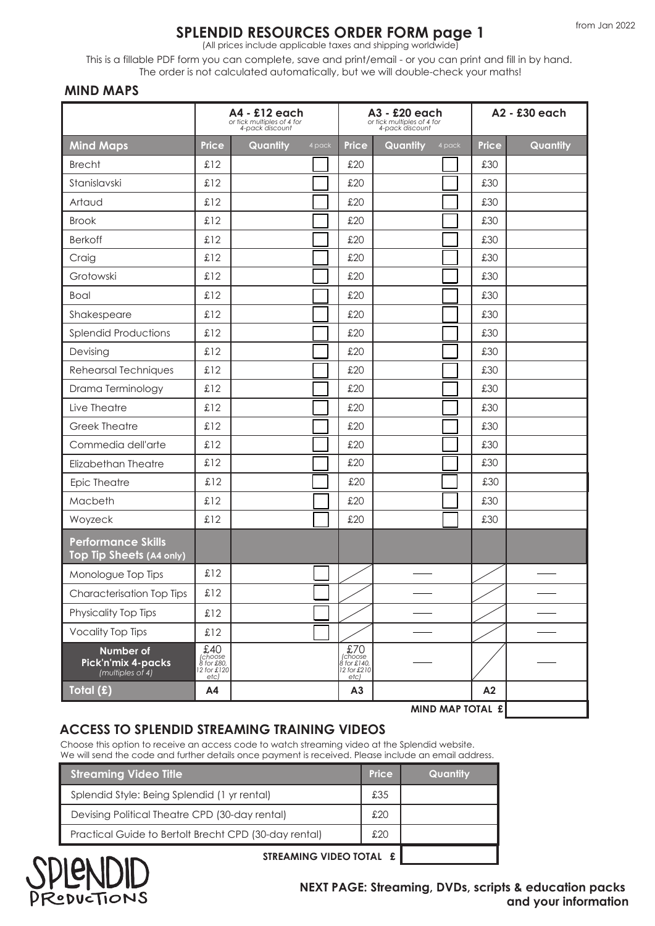# **SPLENDID RESOURCES ORDER FORM page 1**

(All prices include applicable taxes and shipping worldwide)

This is a fillable PDF form you can complete, save and print/email - or you can print and fill in by hand. The order is not calculated automatically, but we will double-check your maths!

#### **MIND MAPS**

|                                                       | A4 - £12 each<br>or tick multiples of 4 for<br>4-pack discount |          |        |                                                        | A3 - £20 each<br>or tick multiples of 4 for<br>4-pack discount | A2 - £30 each |          |  |
|-------------------------------------------------------|----------------------------------------------------------------|----------|--------|--------------------------------------------------------|----------------------------------------------------------------|---------------|----------|--|
| <b>Mind Maps</b>                                      | <b>Price</b>                                                   | Quantity | 4 pack | <b>Price</b>                                           | Quantity<br>4 pack                                             | <b>Price</b>  | Quantity |  |
| <b>Brecht</b>                                         | £12                                                            |          |        | £20                                                    |                                                                | £30           |          |  |
| Stanislavski                                          | £12                                                            |          |        | £20                                                    |                                                                | £30           |          |  |
| Artaud                                                | £12                                                            |          |        | £20                                                    |                                                                | £30           |          |  |
| <b>Brook</b>                                          | £12                                                            |          |        | £20                                                    |                                                                | £30           |          |  |
| <b>Berkoff</b>                                        | £12                                                            |          |        | £20                                                    |                                                                | £30           |          |  |
| Craig                                                 | £12                                                            |          |        | £20                                                    |                                                                | £30           |          |  |
| Grotowski                                             | £12                                                            |          |        | £20                                                    |                                                                | £30           |          |  |
| <b>Boal</b>                                           | £12                                                            |          |        | £20                                                    |                                                                | £30           |          |  |
| Shakespeare                                           | £12                                                            |          |        | £20                                                    |                                                                | £30           |          |  |
| <b>Splendid Productions</b>                           | £12                                                            |          |        | £20                                                    |                                                                | £30           |          |  |
| Devising                                              | £12                                                            |          |        | £20                                                    |                                                                | £30           |          |  |
| Rehearsal Techniques                                  | £12                                                            |          |        | £20                                                    |                                                                | £30           |          |  |
| Drama Terminology                                     | £12                                                            |          |        | £20                                                    |                                                                | £30           |          |  |
| Live Theatre                                          | £12                                                            |          |        | £20                                                    |                                                                | £30           |          |  |
| <b>Greek Theatre</b>                                  | £12                                                            |          |        | £20                                                    |                                                                | £30           |          |  |
| Commedia dell'arte                                    | £12                                                            |          |        | £20                                                    |                                                                | £30           |          |  |
| Elizabethan Theatre                                   | £12                                                            |          |        | £20                                                    |                                                                | £30           |          |  |
| Epic Theatre                                          | £12                                                            |          |        | £20                                                    |                                                                | £30           |          |  |
| Macbeth                                               | £12                                                            |          |        | £20                                                    |                                                                | £30           |          |  |
| Woyzeck                                               | £12                                                            |          |        | £20                                                    |                                                                | £30           |          |  |
| <b>Performance Skills</b><br>Top Tip Sheets (A4 only) |                                                                |          |        |                                                        |                                                                |               |          |  |
| Monologue Top Tips                                    | £12                                                            |          |        |                                                        |                                                                |               |          |  |
| Characterisation Top Tips                             | £12                                                            |          |        |                                                        |                                                                |               |          |  |
| Physicality Top Tips                                  | £12                                                            |          |        |                                                        |                                                                |               |          |  |
| <b>Vocality Top Tips</b>                              | £12                                                            |          |        |                                                        |                                                                |               |          |  |
| Number of<br>Pick'n'mix 4-packs<br>(multiples of 4)   | $$40$<br>(choose<br>8 for £80,<br>12 for £120<br>$etc$ )       |          |        | $270$<br>(choose<br>8 for £140,<br>12 for £210<br>etc) |                                                                |               |          |  |
| Total (£)                                             | A4                                                             |          |        | A3                                                     |                                                                | A2            |          |  |
|                                                       |                                                                |          |        |                                                        | MIND MAP TOTAL £                                               |               |          |  |

## **ACCESS TO SPLENDID STREAMING TRAINING VIDEOS**

Choose this option to receive an access code to watch streaming video at the Splendid website. We will send the code and further details once payment is received. Please include an email address.

| <b>Streaming Video Title</b>                          | <b>Price</b> | Quantity |
|-------------------------------------------------------|--------------|----------|
| Splendid Style: Being Splendid (1 yr rental)          | £35          |          |
| Devising Political Theatre CPD (30-day rental)        | £20          |          |
| Practical Guide to Bertolt Brecht CPD (30-day rental) | £20          |          |
| STREAMING VIDEO TOTAL £<br>$\overline{1}$             |              |          |